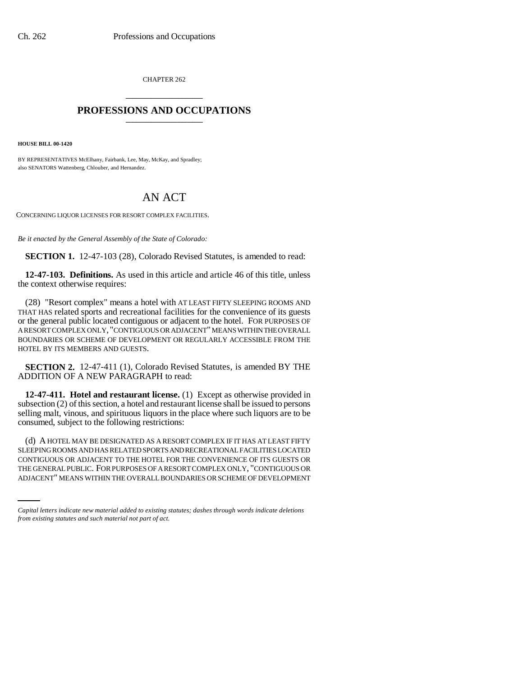CHAPTER 262 \_\_\_\_\_\_\_\_\_\_\_\_\_\_\_

## **PROFESSIONS AND OCCUPATIONS** \_\_\_\_\_\_\_\_\_\_\_\_\_\_\_

**HOUSE BILL 00-1420** 

BY REPRESENTATIVES McElhany, Fairbank, Lee, May, McKay, and Spradley; also SENATORS Wattenberg, Chlouber, and Hernandez.

## AN ACT

CONCERNING LIQUOR LICENSES FOR RESORT COMPLEX FACILITIES.

*Be it enacted by the General Assembly of the State of Colorado:*

**SECTION 1.** 12-47-103 (28), Colorado Revised Statutes, is amended to read:

**12-47-103. Definitions.** As used in this article and article 46 of this title, unless the context otherwise requires:

(28) "Resort complex" means a hotel with AT LEAST FIFTY SLEEPING ROOMS AND THAT HAS related sports and recreational facilities for the convenience of its guests or the general public located contiguous or adjacent to the hotel. FOR PURPOSES OF A RESORT COMPLEX ONLY, "CONTIGUOUS OR ADJACENT" MEANS WITHIN THE OVERALL BOUNDARIES OR SCHEME OF DEVELOPMENT OR REGULARLY ACCESSIBLE FROM THE HOTEL BY ITS MEMBERS AND GUESTS.

**SECTION 2.** 12-47-411 (1), Colorado Revised Statutes, is amended BY THE ADDITION OF A NEW PARAGRAPH to read:

**12-47-411. Hotel and restaurant license.** (1) Except as otherwise provided in subsection (2) of this section, a hotel and restaurant license shall be issued to persons selling malt, vinous, and spirituous liquors in the place where such liquors are to be consumed, subject to the following restrictions:

CONTIGUOUS OR ADJACENT TO THE HOTEL FOR THE CONVENIENCE OF ITS GUESTS OR (d) A HOTEL MAY BE DESIGNATED AS A RESORT COMPLEX IF IT HAS AT LEAST FIFTY SLEEPING ROOMS AND HAS RELATED SPORTS AND RECREATIONAL FACILITIES LOCATED THE GENERAL PUBLIC. FOR PURPOSES OF A RESORT COMPLEX ONLY, "CONTIGUOUS OR ADJACENT" MEANS WITHIN THE OVERALL BOUNDARIES OR SCHEME OF DEVELOPMENT

*Capital letters indicate new material added to existing statutes; dashes through words indicate deletions from existing statutes and such material not part of act.*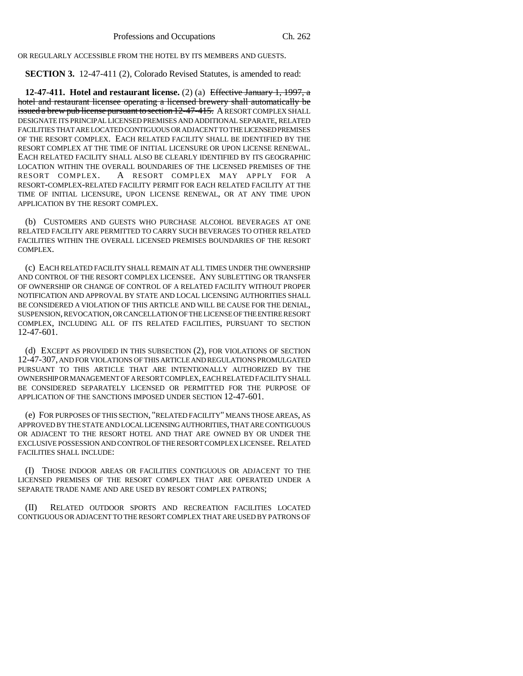OR REGULARLY ACCESSIBLE FROM THE HOTEL BY ITS MEMBERS AND GUESTS.

**SECTION 3.** 12-47-411 (2), Colorado Revised Statutes, is amended to read:

**12-47-411. Hotel and restaurant license.** (2) (a) Effective January 1, 1997, a hotel and restaurant licensee operating a licensed brewery shall automatically be issued a brew pub license pursuant to section 12-47-415. A RESORT COMPLEX SHALL DESIGNATE ITS PRINCIPAL LICENSED PREMISES AND ADDITIONAL SEPARATE, RELATED FACILITIES THAT ARE LOCATED CONTIGUOUS OR ADJACENT TO THE LICENSED PREMISES OF THE RESORT COMPLEX. EACH RELATED FACILITY SHALL BE IDENTIFIED BY THE RESORT COMPLEX AT THE TIME OF INITIAL LICENSURE OR UPON LICENSE RENEWAL. EACH RELATED FACILITY SHALL ALSO BE CLEARLY IDENTIFIED BY ITS GEOGRAPHIC LOCATION WITHIN THE OVERALL BOUNDARIES OF THE LICENSED PREMISES OF THE RESORT COMPLEX. A RESORT COMPLEX MAY APPLY FOR A RESORT-COMPLEX-RELATED FACILITY PERMIT FOR EACH RELATED FACILITY AT THE TIME OF INITIAL LICENSURE, UPON LICENSE RENEWAL, OR AT ANY TIME UPON APPLICATION BY THE RESORT COMPLEX.

(b) CUSTOMERS AND GUESTS WHO PURCHASE ALCOHOL BEVERAGES AT ONE RELATED FACILITY ARE PERMITTED TO CARRY SUCH BEVERAGES TO OTHER RELATED FACILITIES WITHIN THE OVERALL LICENSED PREMISES BOUNDARIES OF THE RESORT COMPLEX.

(c) EACH RELATED FACILITY SHALL REMAIN AT ALL TIMES UNDER THE OWNERSHIP AND CONTROL OF THE RESORT COMPLEX LICENSEE. ANY SUBLETTING OR TRANSFER OF OWNERSHIP OR CHANGE OF CONTROL OF A RELATED FACILITY WITHOUT PROPER NOTIFICATION AND APPROVAL BY STATE AND LOCAL LICENSING AUTHORITIES SHALL BE CONSIDERED A VIOLATION OF THIS ARTICLE AND WILL BE CAUSE FOR THE DENIAL, SUSPENSION, REVOCATION, OR CANCELLATION OF THE LICENSE OF THE ENTIRE RESORT COMPLEX, INCLUDING ALL OF ITS RELATED FACILITIES, PURSUANT TO SECTION 12-47-601.

(d) EXCEPT AS PROVIDED IN THIS SUBSECTION (2), FOR VIOLATIONS OF SECTION 12-47-307, AND FOR VIOLATIONS OF THIS ARTICLE AND REGULATIONS PROMULGATED PURSUANT TO THIS ARTICLE THAT ARE INTENTIONALLY AUTHORIZED BY THE OWNERSHIP OR MANAGEMENT OF A RESORT COMPLEX, EACH RELATED FACILITY SHALL BE CONSIDERED SEPARATELY LICENSED OR PERMITTED FOR THE PURPOSE OF APPLICATION OF THE SANCTIONS IMPOSED UNDER SECTION 12-47-601.

(e) FOR PURPOSES OF THIS SECTION, "RELATED FACILITY" MEANS THOSE AREAS, AS APPROVED BY THE STATE AND LOCAL LICENSING AUTHORITIES, THAT ARE CONTIGUOUS OR ADJACENT TO THE RESORT HOTEL AND THAT ARE OWNED BY OR UNDER THE EXCLUSIVE POSSESSION AND CONTROL OF THE RESORT COMPLEX LICENSEE. RELATED FACILITIES SHALL INCLUDE:

(I) THOSE INDOOR AREAS OR FACILITIES CONTIGUOUS OR ADJACENT TO THE LICENSED PREMISES OF THE RESORT COMPLEX THAT ARE OPERATED UNDER A SEPARATE TRADE NAME AND ARE USED BY RESORT COMPLEX PATRONS;

(II) RELATED OUTDOOR SPORTS AND RECREATION FACILITIES LOCATED CONTIGUOUS OR ADJACENT TO THE RESORT COMPLEX THAT ARE USED BY PATRONS OF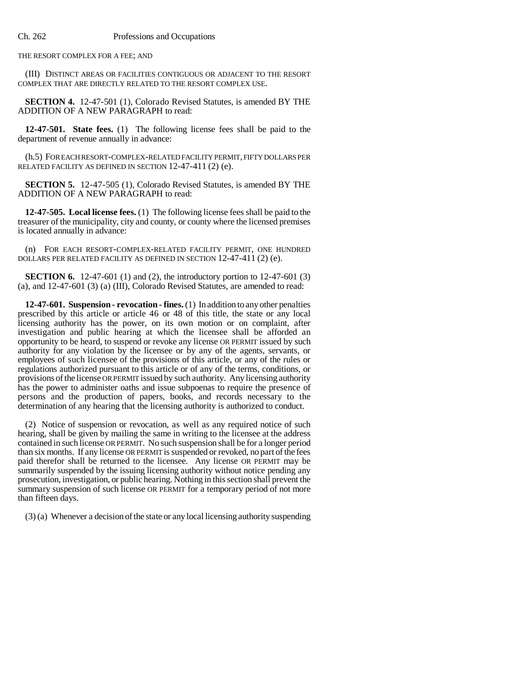THE RESORT COMPLEX FOR A FEE; AND

(III) DISTINCT AREAS OR FACILITIES CONTIGUOUS OR ADJACENT TO THE RESORT COMPLEX THAT ARE DIRECTLY RELATED TO THE RESORT COMPLEX USE.

**SECTION 4.** 12-47-501 (1), Colorado Revised Statutes, is amended BY THE ADDITION OF A NEW PARAGRAPH to read:

**12-47-501. State fees.** (1) The following license fees shall be paid to the department of revenue annually in advance:

(h.5) FOR EACH RESORT-COMPLEX-RELATED FACILITY PERMIT, FIFTY DOLLARS PER RELATED FACILITY AS DEFINED IN SECTION 12-47-411 (2) (e).

**SECTION 5.** 12-47-505 (1), Colorado Revised Statutes, is amended BY THE ADDITION OF A NEW PARAGRAPH to read:

**12-47-505. Local license fees.** (1) The following license fees shall be paid to the treasurer of the municipality, city and county, or county where the licensed premises is located annually in advance:

(n) FOR EACH RESORT-COMPLEX-RELATED FACILITY PERMIT, ONE HUNDRED DOLLARS PER RELATED FACILITY AS DEFINED IN SECTION 12-47-411 (2) (e).

**SECTION 6.** 12-47-601 (1) and (2), the introductory portion to 12-47-601 (3) (a), and 12-47-601 (3) (a) (III), Colorado Revised Statutes, are amended to read:

**12-47-601. Suspension - revocation - fines.** (1) In addition to any other penalties prescribed by this article or article 46 or 48 of this title, the state or any local licensing authority has the power, on its own motion or on complaint, after investigation and public hearing at which the licensee shall be afforded an opportunity to be heard, to suspend or revoke any license OR PERMIT issued by such authority for any violation by the licensee or by any of the agents, servants, or employees of such licensee of the provisions of this article, or any of the rules or regulations authorized pursuant to this article or of any of the terms, conditions, or provisions of the license OR PERMIT issued by such authority. Any licensing authority has the power to administer oaths and issue subpoenas to require the presence of persons and the production of papers, books, and records necessary to the determination of any hearing that the licensing authority is authorized to conduct.

(2) Notice of suspension or revocation, as well as any required notice of such hearing, shall be given by mailing the same in writing to the licensee at the address contained in such license OR PERMIT. No such suspension shall be for a longer period than six months. If any license OR PERMIT is suspended or revoked, no part of the fees paid therefor shall be returned to the licensee. Any license OR PERMIT may be summarily suspended by the issuing licensing authority without notice pending any prosecution, investigation, or public hearing. Nothing in this section shall prevent the summary suspension of such license OR PERMIT for a temporary period of not more than fifteen days.

(3) (a) Whenever a decision of the state or any local licensing authority suspending